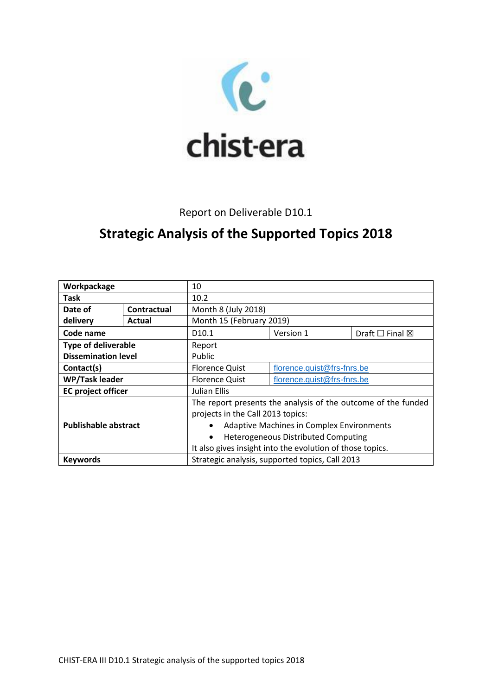

## Report on Deliverable D10.1

## **Strategic Analysis of the Supported Topics 2018**

| Workpackage                 |             | 10                                                            |                            |                                 |
|-----------------------------|-------------|---------------------------------------------------------------|----------------------------|---------------------------------|
| Task                        |             | 10.2                                                          |                            |                                 |
| Date of                     | Contractual | Month 8 (July 2018)                                           |                            |                                 |
| delivery                    | Actual      | Month 15 (February 2019)                                      |                            |                                 |
| Code name                   |             | D <sub>10.1</sub>                                             | Version 1                  | Draft $\square$ Final $\square$ |
| <b>Type of deliverable</b>  |             | Report                                                        |                            |                                 |
| <b>Dissemination level</b>  |             | Public                                                        |                            |                                 |
| Contact(s)                  |             | <b>Florence Quist</b>                                         | florence.quist@frs-fnrs.be |                                 |
| <b>WP/Task leader</b>       |             | <b>Florence Quist</b>                                         | florence.quist@frs-fnrs.be |                                 |
| <b>EC</b> project officer   |             | Julian Ellis                                                  |                            |                                 |
|                             |             | The report presents the analysis of the outcome of the funded |                            |                                 |
|                             |             | projects in the Call 2013 topics:                             |                            |                                 |
| <b>Publishable abstract</b> |             | <b>Adaptive Machines in Complex Environments</b><br>$\bullet$ |                            |                                 |
|                             |             | <b>Heterogeneous Distributed Computing</b><br>$\bullet$       |                            |                                 |
|                             |             | It also gives insight into the evolution of those topics.     |                            |                                 |
| <b>Keywords</b>             |             | Strategic analysis, supported topics, Call 2013               |                            |                                 |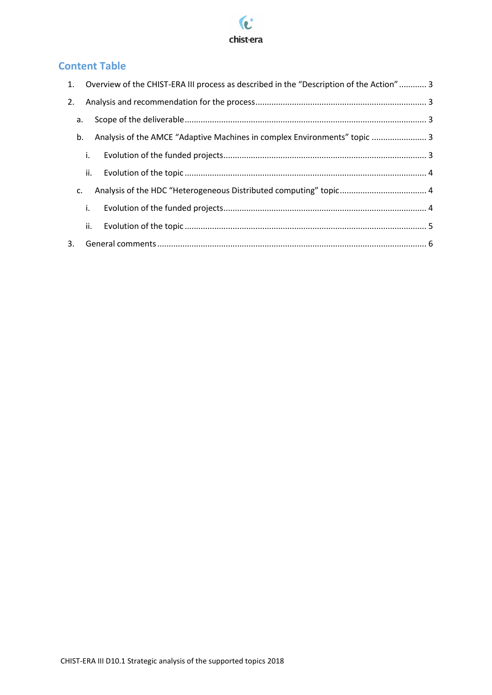

## **Content Table**

|    |    | 1. Overview of the CHIST-ERA III process as described in the "Description of the Action" 3 |  |
|----|----|--------------------------------------------------------------------------------------------|--|
| 2. |    |                                                                                            |  |
| a. |    |                                                                                            |  |
| b. |    | Analysis of the AMCE "Adaptive Machines in complex Environments" topic  3                  |  |
|    | i. |                                                                                            |  |
|    |    |                                                                                            |  |
| C. |    |                                                                                            |  |
|    | i. |                                                                                            |  |
|    |    |                                                                                            |  |
| 3. |    |                                                                                            |  |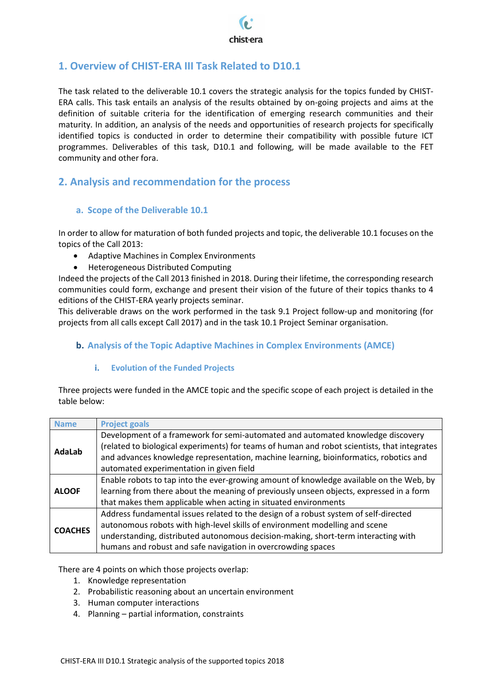

## <span id="page-2-0"></span>**1. Overview of CHIST-ERA III Task Related to D10.1**

The task related to the deliverable 10.1 covers the strategic analysis for the topics funded by CHIST-ERA calls. This task entails an analysis of the results obtained by on-going projects and aims at the definition of suitable criteria for the identification of emerging research communities and their maturity. In addition, an analysis of the needs and opportunities of research projects for specifically identified topics is conducted in order to determine their compatibility with possible future ICT programmes. Deliverables of this task, D10.1 and following, will be made available to the FET community and other fora.

## <span id="page-2-2"></span><span id="page-2-1"></span>**2. Analysis and recommendation for the process**

#### **a. Scope of the Deliverable 10.1**

In order to allow for maturation of both funded projects and topic, the deliverable 10.1 focuses on the topics of the Call 2013:

- Adaptive Machines in Complex Environments
- Heterogeneous Distributed Computing

Indeed the projects of the Call 2013 finished in 2018. During their lifetime, the corresponding research communities could form, exchange and present their vision of the future of their topics thanks to 4 editions of the CHIST-ERA yearly projects seminar.

This deliverable draws on the work performed in the task 9.1 Project follow-up and monitoring (for projects from all calls except Call 2017) and in the task 10.1 Project Seminar organisation.

#### <span id="page-2-4"></span><span id="page-2-3"></span>**b. Analysis of the Topic Adaptive Machines in Complex Environments (AMCE)**

#### **i. Evolution of the Funded Projects**

Three projects were funded in the AMCE topic and the specific scope of each project is detailed in the table below:

| <b>Name</b>    | <b>Project goals</b>                                                                         |
|----------------|----------------------------------------------------------------------------------------------|
| AdaLab         | Development of a framework for semi-automated and automated knowledge discovery              |
|                | (related to biological experiments) for teams of human and robot scientists, that integrates |
|                | and advances knowledge representation, machine learning, bioinformatics, robotics and        |
|                | automated experimentation in given field                                                     |
| <b>ALOOF</b>   | Enable robots to tap into the ever-growing amount of knowledge available on the Web, by      |
|                | learning from there about the meaning of previously unseen objects, expressed in a form      |
|                | that makes them applicable when acting in situated environments                              |
| <b>COACHES</b> | Address fundamental issues related to the design of a robust system of self-directed         |
|                | autonomous robots with high-level skills of environment modelling and scene                  |
|                | understanding, distributed autonomous decision-making, short-term interacting with           |
|                | humans and robust and safe navigation in overcrowding spaces                                 |

There are 4 points on which those projects overlap:

- 1. Knowledge representation
- 2. Probabilistic reasoning about an uncertain environment
- 3. Human computer interactions
- 4. Planning partial information, constraints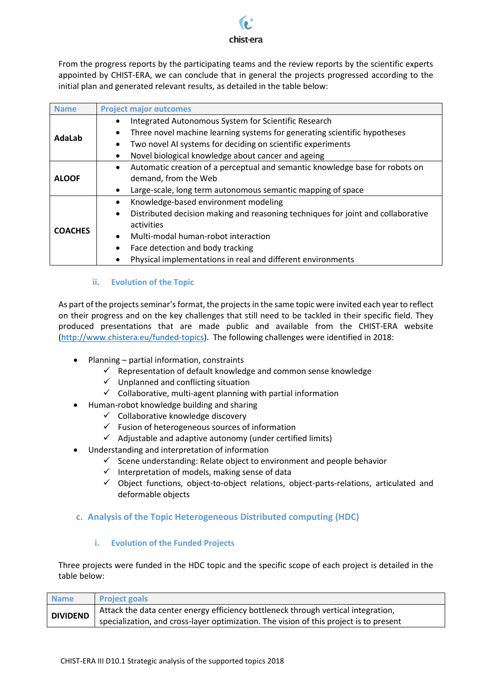# chist-era

From the progress reports by the participating teams and the review reports by the scientific experts appointed by CHIST-ERA, we can conclude that in general the projects progressed according to the initial plan and generated relevant results, as detailed in the table below:

| <b>Name</b>    | <b>Project major outcomes</b>                                                                 |  |  |
|----------------|-----------------------------------------------------------------------------------------------|--|--|
| AdaLab         | Integrated Autonomous System for Scientific Research                                          |  |  |
|                | Three novel machine learning systems for generating scientific hypotheses                     |  |  |
|                | Two novel AI systems for deciding on scientific experiments                                   |  |  |
|                | Novel biological knowledge about cancer and ageing                                            |  |  |
|                | Automatic creation of a perceptual and semantic knowledge base for robots on<br>$\bullet$     |  |  |
| <b>ALOOF</b>   | demand, from the Web                                                                          |  |  |
|                | Large-scale, long term autonomous semantic mapping of space                                   |  |  |
| <b>COACHES</b> | Knowledge-based environment modeling<br>$\bullet$                                             |  |  |
|                | Distributed decision making and reasoning techniques for joint and collaborative<br>$\bullet$ |  |  |
|                | activities                                                                                    |  |  |
|                | Multi-modal human-robot interaction<br>$\bullet$                                              |  |  |
|                | Face detection and body tracking                                                              |  |  |
|                | Physical implementations in real and different environments                                   |  |  |

#### **ii. Evolution of the Topic**

<span id="page-3-0"></span>As part of the projects seminar's format, the projects in the same topic were invited each year to reflect on their progress and on the key challenges that still need to be tackled in their specific field. They produced presentations that are made public and available from the CHIST-ERA website [\(http://www.chistera.eu/funded-topics\)](http://www.chistera.eu/funded-topics). The following challenges were identified in 2018:

- Planning partial information, constraints
	- $\checkmark$  Representation of default knowledge and common sense knowledge
	- $\checkmark$  Unplanned and conflicting situation
	- $\checkmark$  Collaborative, multi-agent planning with partial information
- Human-robot knowledge building and sharing
	- $\checkmark$  Collaborative knowledge discovery
	- $\checkmark$  Fusion of heterogeneous sources of information
	- $\checkmark$  Adjustable and adaptive autonomy (under certified limits)
- Understanding and interpretation of information
	- $\checkmark$  Scene understanding: Relate object to environment and people behavior
	- $\checkmark$  Interpretation of models, making sense of data
	- $\checkmark$  Object functions, object-to-object relations, object-parts-relations, articulated and deformable objects

#### <span id="page-3-2"></span><span id="page-3-1"></span>**c. Analysis of the Topic Heterogeneous Distributed computing (HDC)**

#### **i. Evolution of the Funded Projects**

Three projects were funded in the HDC topic and the specific scope of each project is detailed in the table below:

| <b>Name</b>     | <b>Project goals</b>                                                                   |
|-----------------|----------------------------------------------------------------------------------------|
| <b>DIVIDEND</b> | Attack the data center energy efficiency bottleneck through vertical integration,      |
|                 | specialization, and cross-layer optimization. The vision of this project is to present |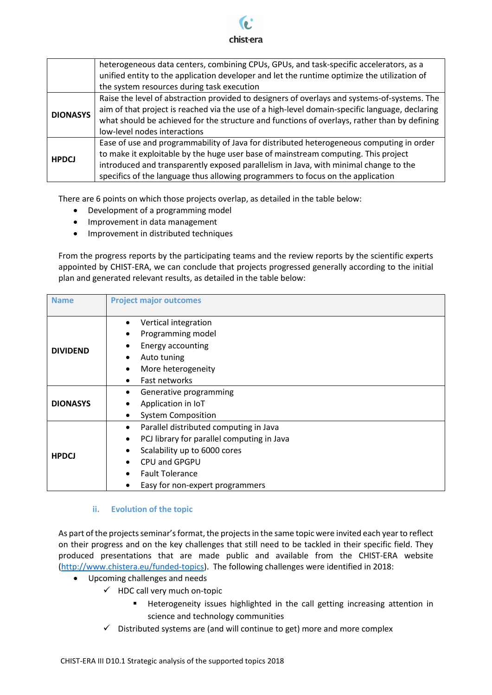

|                 | heterogeneous data centers, combining CPUs, GPUs, and task-specific accelerators, as a<br>unified entity to the application developer and let the runtime optimize the utilization of                                                                                                                                                                     |
|-----------------|-----------------------------------------------------------------------------------------------------------------------------------------------------------------------------------------------------------------------------------------------------------------------------------------------------------------------------------------------------------|
|                 | the system resources during task execution                                                                                                                                                                                                                                                                                                                |
| <b>DIONASYS</b> | Raise the level of abstraction provided to designers of overlays and systems-of-systems. The<br>aim of that project is reached via the use of a high-level domain-specific language, declaring<br>what should be achieved for the structure and functions of overlays, rather than by defining<br>low-level nodes interactions                            |
| <b>HPDCJ</b>    | Ease of use and programmability of Java for distributed heterogeneous computing in order<br>to make it exploitable by the huge user base of mainstream computing. This project<br>introduced and transparently exposed parallelism in Java, with minimal change to the<br>specifics of the language thus allowing programmers to focus on the application |

There are 6 points on which those projects overlap, as detailed in the table below:

- Development of a programming model
- Improvement in data management
- Improvement in distributed techniques

From the progress reports by the participating teams and the review reports by the scientific experts appointed by CHIST-ERA, we can conclude that projects progressed generally according to the initial plan and generated relevant results, as detailed in the table below:

| <b>Name</b>     | <b>Project major outcomes</b>                                                                                                                                                                                        |
|-----------------|----------------------------------------------------------------------------------------------------------------------------------------------------------------------------------------------------------------------|
| <b>DIVIDEND</b> | Vertical integration<br>Programming model<br>Energy accounting<br>Auto tuning<br>٠<br>More heterogeneity<br>٠<br>Fast networks<br>$\bullet$                                                                          |
| <b>DIONASYS</b> | Generative programming<br>Application in IoT<br><b>System Composition</b><br>٠                                                                                                                                       |
| <b>HPDCJ</b>    | Parallel distributed computing in Java<br>$\bullet$<br>PCJ library for parallel computing in Java<br>٠<br>Scalability up to 6000 cores<br>CPU and GPGPU<br><b>Fault Tolerance</b><br>Easy for non-expert programmers |

#### **ii. Evolution of the topic**

<span id="page-4-0"></span>As part of the projects seminar's format, the projects in the same topic were invited each year to reflect on their progress and on the key challenges that still need to be tackled in their specific field. They produced presentations that are made public and available from the CHIST-ERA website [\(http://www.chistera.eu/funded-topics\)](http://www.chistera.eu/funded-topics). The following challenges were identified in 2018:

- Upcoming challenges and needs
	- $\checkmark$  HDC call very much on-topic
		- **Heterogeneity issues highlighted in the call getting increasing attention in** science and technology communities
		- $\checkmark$  Distributed systems are (and will continue to get) more and more complex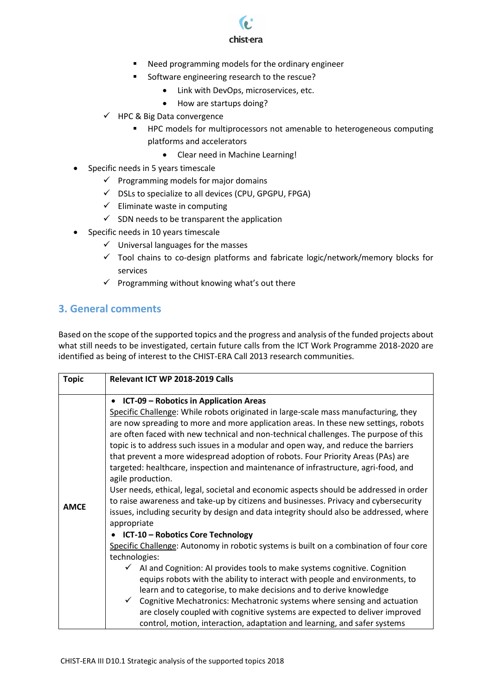

- Need programming models for the ordinary engineer
- **Software engineering research to the rescue?** 
	- Link with DevOps, microservices, etc.
	- How are startups doing?
- $\checkmark$  HPC & Big Data convergence
	- **HPC** models for multiprocessors not amenable to heterogeneous computing platforms and accelerators
		- Clear need in Machine Learning!
- Specific needs in 5 years timescale
	- $\checkmark$  Programming models for major domains
	- $\checkmark$  DSLs to specialize to all devices (CPU, GPGPU, FPGA)
	- $\checkmark$  Eliminate waste in computing
	- $\checkmark$  SDN needs to be transparent the application
- Specific needs in 10 years timescale
	- $\checkmark$  Universal languages for the masses
	- $\checkmark$  Tool chains to co-design platforms and fabricate logic/network/memory blocks for services
	- $\checkmark$  Programming without knowing what's out there

## <span id="page-5-0"></span>**3. General comments**

Based on the scope of the supported topics and the progress and analysis of the funded projects about what still needs to be investigated, certain future calls from the ICT Work Programme 2018-2020 are identified as being of interest to the CHIST-ERA Call 2013 research communities.

| <b>Topic</b> | Relevant ICT WP 2018-2019 Calls                                                                                                                                                                                                                                                                                                                                                                                                                                                                                                                                                                                                                                                                                                                                                                                                                                                                                                                                                                                                                                                                                                                                                                                                                                                                                                                                                                                                                                                                                                                   |
|--------------|---------------------------------------------------------------------------------------------------------------------------------------------------------------------------------------------------------------------------------------------------------------------------------------------------------------------------------------------------------------------------------------------------------------------------------------------------------------------------------------------------------------------------------------------------------------------------------------------------------------------------------------------------------------------------------------------------------------------------------------------------------------------------------------------------------------------------------------------------------------------------------------------------------------------------------------------------------------------------------------------------------------------------------------------------------------------------------------------------------------------------------------------------------------------------------------------------------------------------------------------------------------------------------------------------------------------------------------------------------------------------------------------------------------------------------------------------------------------------------------------------------------------------------------------------|
| <b>AMCE</b>  | ICT-09 - Robotics in Application Areas<br>Specific Challenge: While robots originated in large-scale mass manufacturing, they<br>are now spreading to more and more application areas. In these new settings, robots<br>are often faced with new technical and non-technical challenges. The purpose of this<br>topic is to address such issues in a modular and open way, and reduce the barriers<br>that prevent a more widespread adoption of robots. Four Priority Areas (PAs) are<br>targeted: healthcare, inspection and maintenance of infrastructure, agri-food, and<br>agile production.<br>User needs, ethical, legal, societal and economic aspects should be addressed in order<br>to raise awareness and take-up by citizens and businesses. Privacy and cybersecurity<br>issues, including security by design and data integrity should also be addressed, where<br>appropriate<br>ICT-10 - Robotics Core Technology<br>Specific Challenge: Autonomy in robotic systems is built on a combination of four core<br>technologies:<br>$\checkmark$ AI and Cognition: AI provides tools to make systems cognitive. Cognition<br>equips robots with the ability to interact with people and environments, to<br>learn and to categorise, to make decisions and to derive knowledge<br>Cognitive Mechatronics: Mechatronic systems where sensing and actuation<br>$\checkmark$<br>are closely coupled with cognitive systems are expected to deliver improved<br>control, motion, interaction, adaptation and learning, and safer systems |